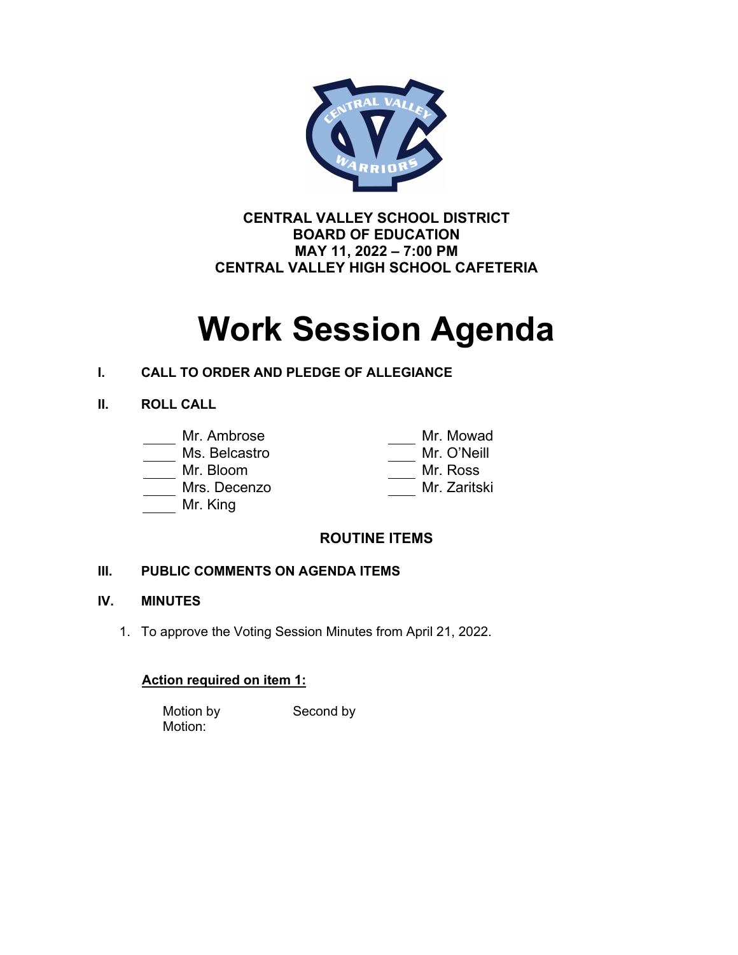

**CENTRAL VALLEY SCHOOL DISTRICT BOARD OF EDUCATION MAY 11, 2022 – 7:00 PM CENTRAL VALLEY HIGH SCHOOL CAFETERIA** 

# **Work Session Agenda**

## **I. CALL TO ORDER AND PLEDGE OF ALLEGIANCE**

## **II. ROLL CALL**

# Mr. Ambrose Mr. Mowad

#### Ms. Belcastro

Mr. Bloom

Mrs. Decenzo

Mr. King

| ivii. iviuwau |
|---------------|
| Mr. O'Neill   |
| Mr. Ross      |
| Mr. Zaritski  |
|               |

# **ROUTINE ITEMS**

## **III. PUBLIC COMMENTS ON AGENDA ITEMS**

## **IV. MINUTES**

1. To approve the Voting Session Minutes from April 21, 2022.

## **Action required on item 1:**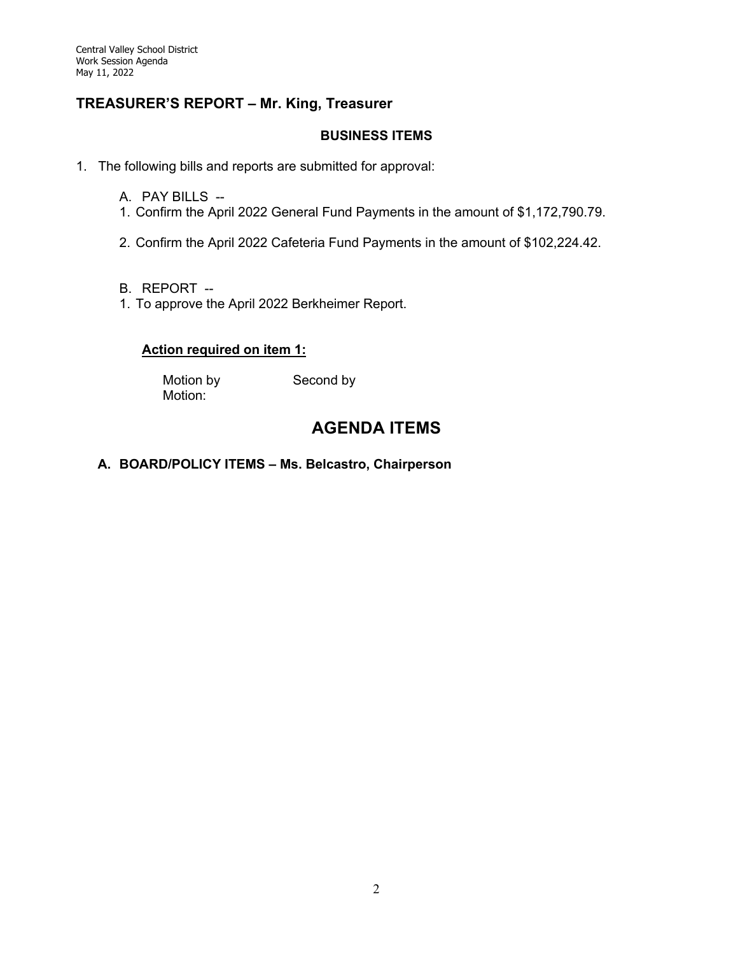## **TREASURER'S REPORT – Mr. King, Treasurer**

#### **BUSINESS ITEMS**

- 1. The following bills and reports are submitted for approval:
	- A. PAY BILLS --
	- 1. Confirm the April 2022 General Fund Payments in the amount of \$1,172,790.79.
	- 2. Confirm the April 2022 Cafeteria Fund Payments in the amount of \$102,224.42.
	- B. REPORT --
	- 1. To approve the April 2022 Berkheimer Report.

#### **Action required on item 1:**

Motion by Second by Motion:

# **AGENDA ITEMS**

#### **A. BOARD/POLICY ITEMS – Ms. Belcastro, Chairperson**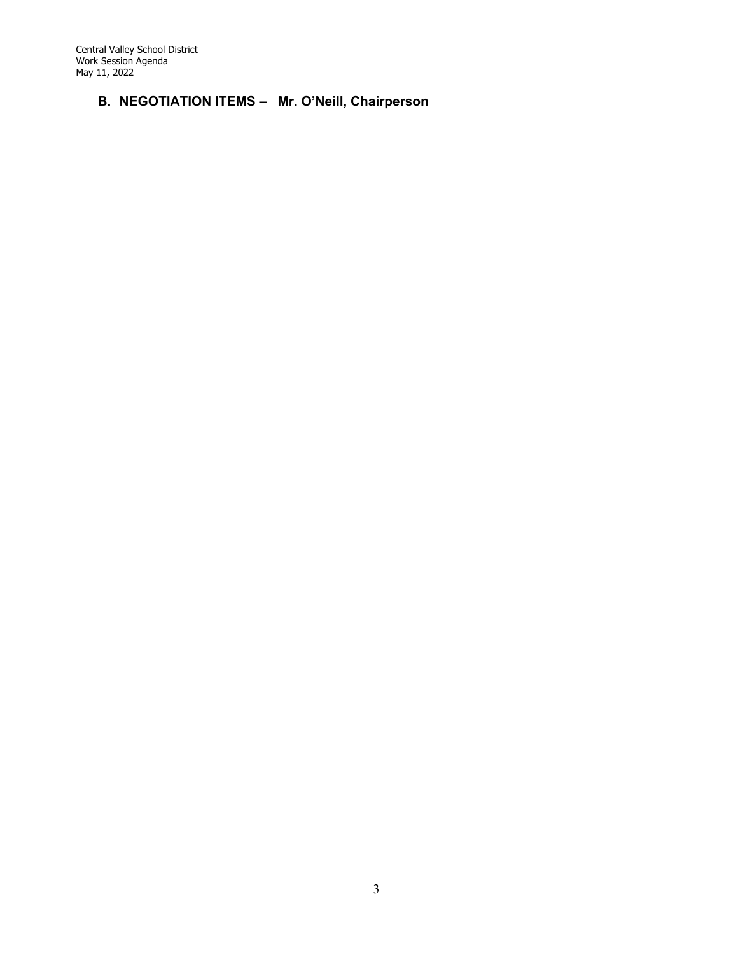Central Valley School District Work Session Agenda May 11, 2022

## **B. NEGOTIATION ITEMS – Mr. O'Neill, Chairperson**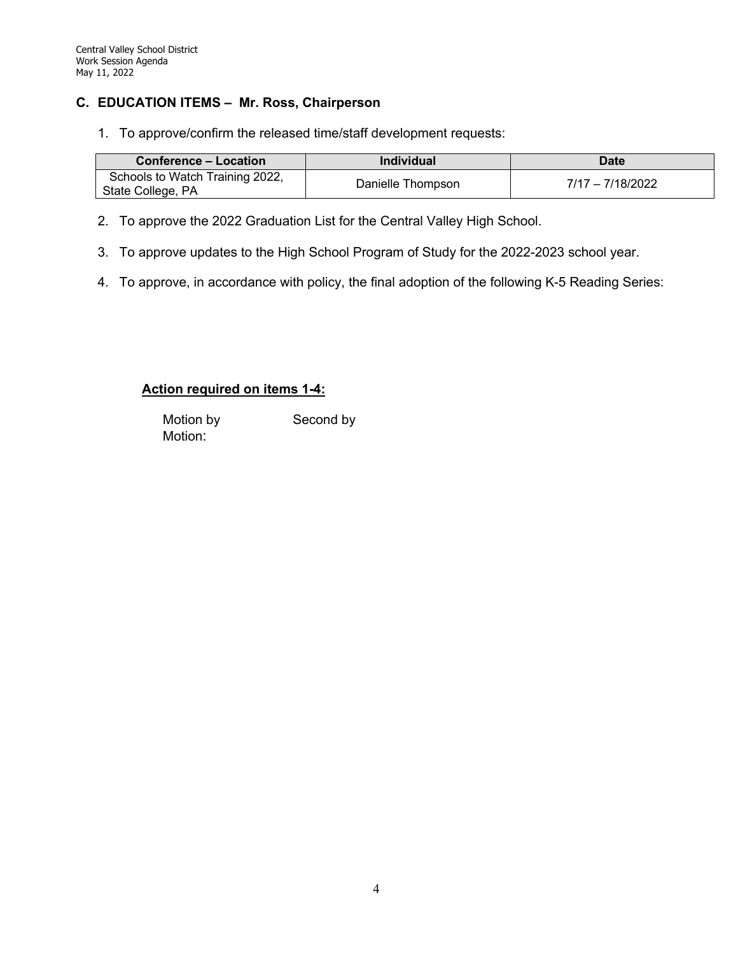#### **C. EDUCATION ITEMS – Mr. Ross, Chairperson**

1. To approve/confirm the released time/staff development requests:

| <b>Conference – Location</b>                         | <b>Individual</b> | Date               |
|------------------------------------------------------|-------------------|--------------------|
| Schools to Watch Training 2022,<br>State College, PA | Danielle Thompson | $7/17 - 7/18/2022$ |

- 2. To approve the 2022 Graduation List for the Central Valley High School.
- 3. To approve updates to the High School Program of Study for the 2022-2023 school year.
- 4. To approve, in accordance with policy, the final adoption of the following K-5 Reading Series:

#### **Action required on items 1-4:**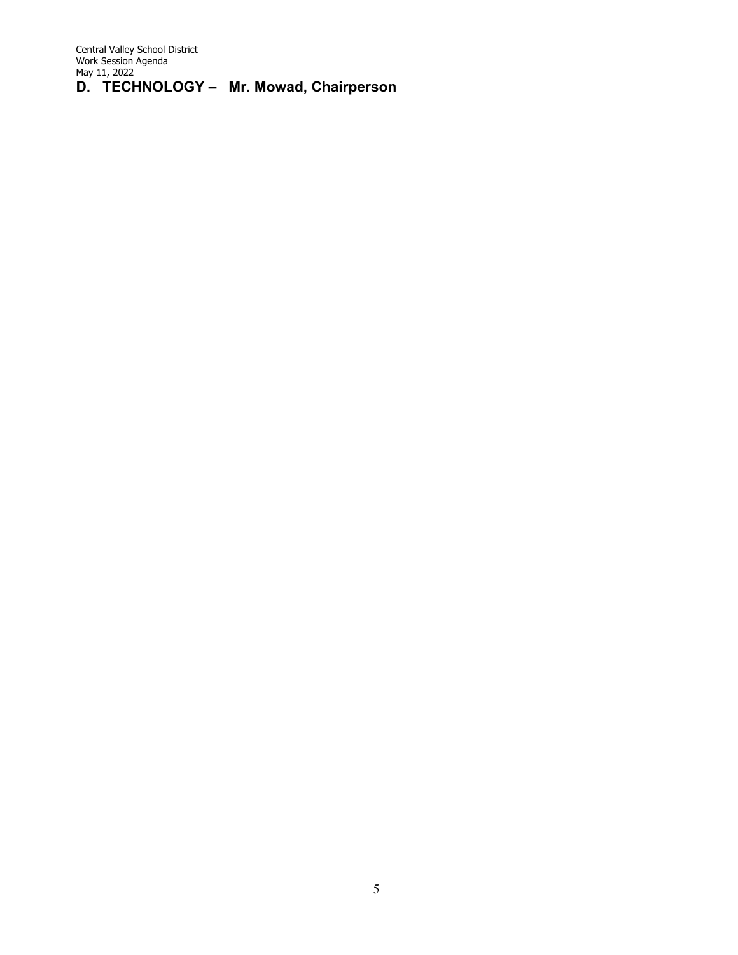Central Valley School District Work Session Agenda May 11, 2022 **D. TECHNOLOGY – Mr. Mowad, Chairperson**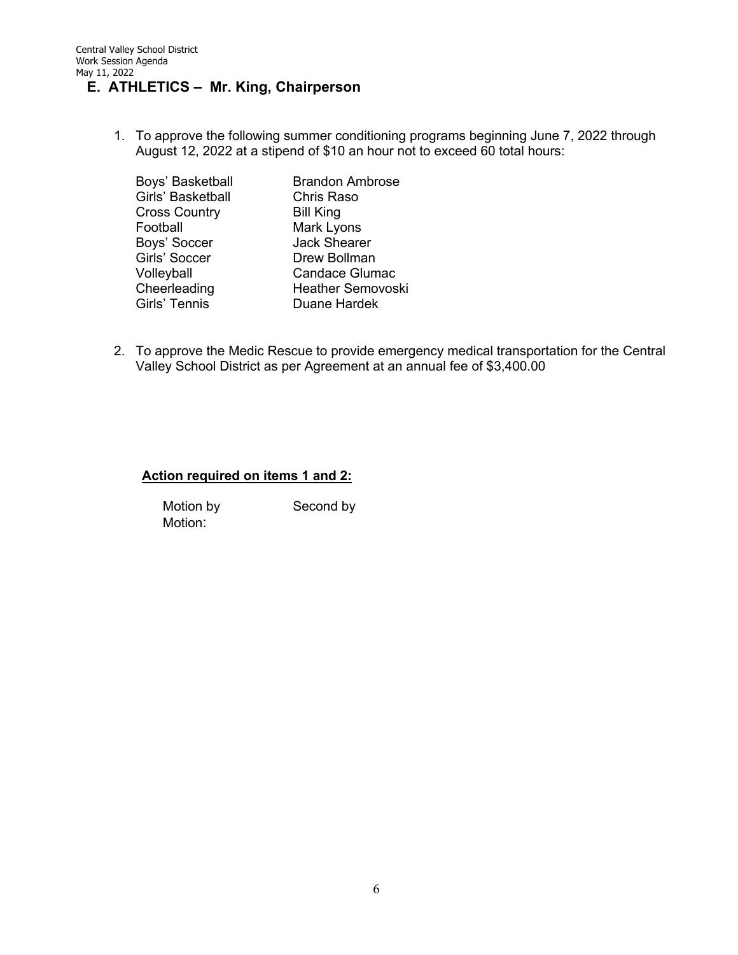## **E. ATHLETICS – Mr. King, Chairperson**

1. To approve the following summer conditioning programs beginning June 7, 2022 through August 12, 2022 at a stipend of \$10 an hour not to exceed 60 total hours:

| <b>Brandon Ambrose</b><br><b>Chris Raso</b> |
|---------------------------------------------|
| <b>Bill King</b>                            |
| Mark Lyons                                  |
| <b>Jack Shearer</b>                         |
| Drew Bollman                                |
| Candace Glumac                              |
| <b>Heather Semovoski</b>                    |
| Duane Hardek                                |
|                                             |

2. To approve the Medic Rescue to provide emergency medical transportation for the Central Valley School District as per Agreement at an annual fee of \$3,400.00

#### **Action required on items 1 and 2:**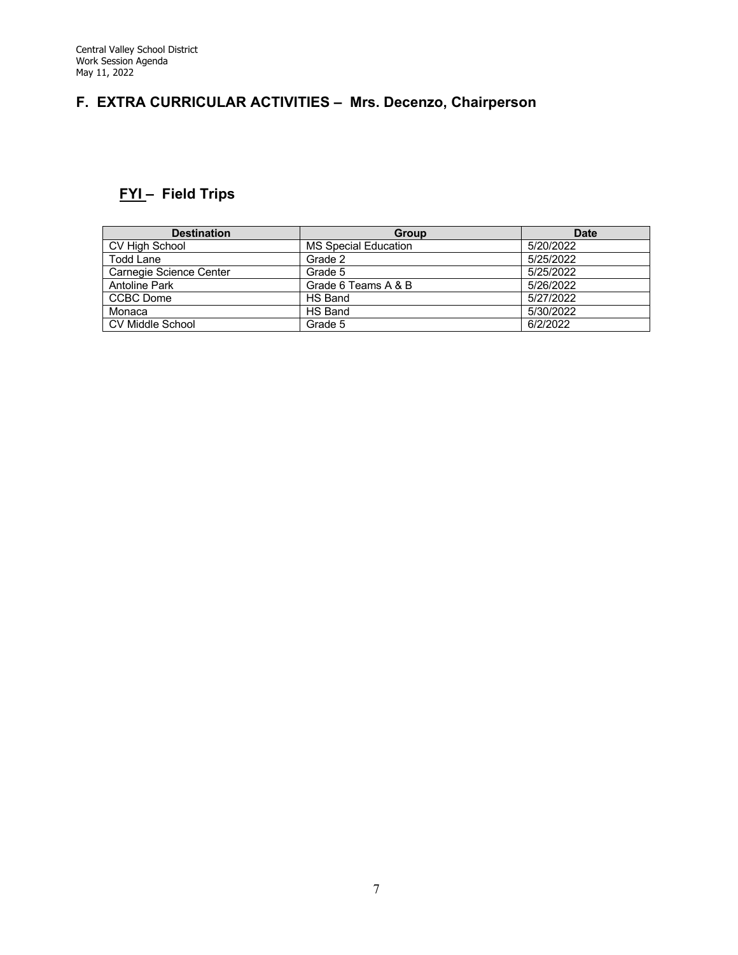# **F. EXTRA CURRICULAR ACTIVITIES – Mrs. Decenzo, Chairperson**

# **FYI – Field Trips**

| <b>Destination</b>      | <b>Group</b>                | <b>Date</b> |
|-------------------------|-----------------------------|-------------|
| CV High School          | <b>MS Special Education</b> | 5/20/2022   |
| Todd Lane               | Grade 2                     | 5/25/2022   |
| Carnegie Science Center | Grade 5                     | 5/25/2022   |
| <b>Antoline Park</b>    | Grade 6 Teams A & B         | 5/26/2022   |
| CCBC Dome               | HS Band                     | 5/27/2022   |
| Monaca                  | HS Band                     | 5/30/2022   |
| <b>CV Middle School</b> | Grade 5                     | 6/2/2022    |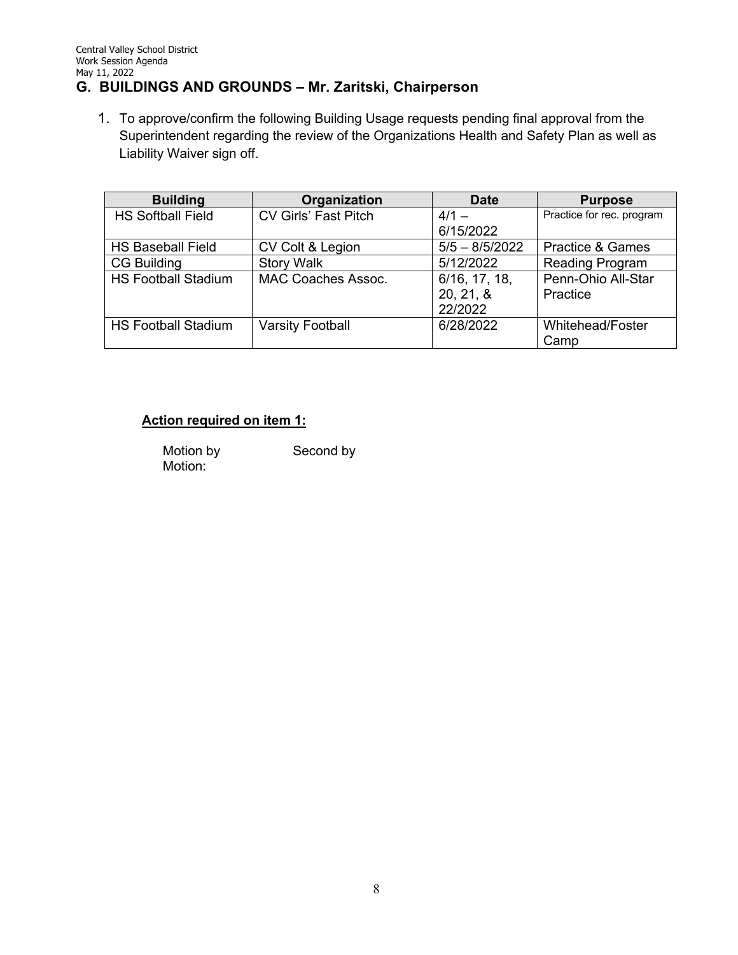## **G. BUILDINGS AND GROUNDS – Mr. Zaritski, Chairperson**

1. To approve/confirm the following Building Usage requests pending final approval from the Superintendent regarding the review of the Organizations Health and Safety Plan as well as Liability Waiver sign off.

| <b>Building</b>            | Organization                | <b>Date</b>      | <b>Purpose</b>              |
|----------------------------|-----------------------------|------------------|-----------------------------|
| <b>HS Softball Field</b>   | <b>CV Girls' Fast Pitch</b> | $4/1 -$          | Practice for rec. program   |
|                            |                             | 6/15/2022        |                             |
| <b>HS Baseball Field</b>   | CV Colt & Legion            | $5/5 - 8/5/2022$ | <b>Practice &amp; Games</b> |
| <b>CG Building</b>         | <b>Story Walk</b>           | 5/12/2022        | <b>Reading Program</b>      |
| <b>HS Football Stadium</b> | <b>MAC Coaches Assoc.</b>   | 6/16, 17, 18,    | Penn-Ohio All-Star          |
|                            |                             | 20, 21, 8        | Practice                    |
|                            |                             | 22/2022          |                             |
| <b>HS Football Stadium</b> | <b>Varsity Football</b>     | 6/28/2022        | <b>Whitehead/Foster</b>     |
|                            |                             |                  | Camp                        |

## **Action required on item 1:**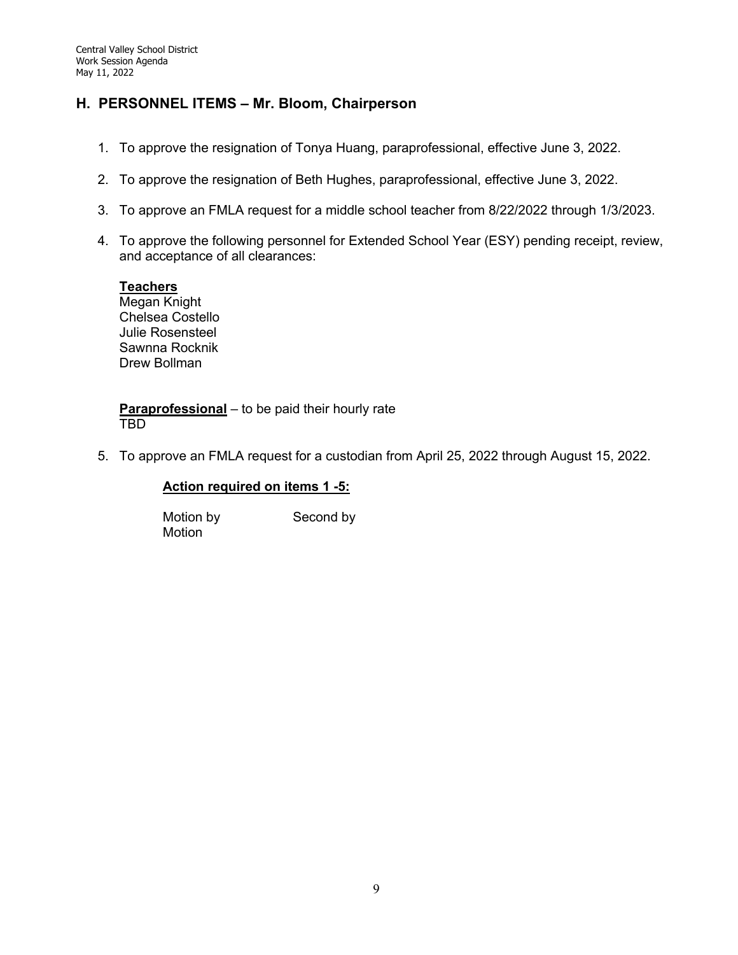## **H. PERSONNEL ITEMS – Mr. Bloom, Chairperson**

- 1. To approve the resignation of Tonya Huang, paraprofessional, effective June 3, 2022.
- 2. To approve the resignation of Beth Hughes, paraprofessional, effective June 3, 2022.
- 3. To approve an FMLA request for a middle school teacher from 8/22/2022 through 1/3/2023.
- 4. To approve the following personnel for Extended School Year (ESY) pending receipt, review, and acceptance of all clearances:

#### **Teachers**

Megan Knight Chelsea Costello Julie Rosensteel Sawnna Rocknik Drew Bollman

**Paraprofessional** – to be paid their hourly rate TBD

5. To approve an FMLA request for a custodian from April 25, 2022 through August 15, 2022.

#### **Action required on items 1 -5:**